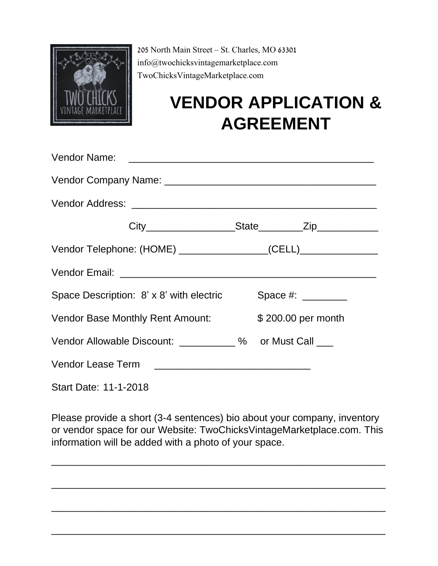

205 North Main Street – St. Charles, MO 63301 info@twochicksvintagemarketplace.com TwoChicksVintageMarketplace.com

## **VENDOR APPLICATION & AGREEMENT**

| Vendor Telephone: (HOME) ________________(CELL)_________________________________ |  |
|----------------------------------------------------------------------------------|--|
|                                                                                  |  |
| Space Description: 8' x 8' with electric Space #: _______                        |  |
| Vendor Base Monthly Rent Amount: \$200.00 per month                              |  |
| Vendor Allowable Discount: __________ % or Must Call ___                         |  |
|                                                                                  |  |
| Start Date: 11-1-2018                                                            |  |

Please provide a short (3-4 sentences) bio about your company, inventory or vendor space for our Website: TwoChicksVintageMarketplace.com. This information will be added with a photo of your space.

\_\_\_\_\_\_\_\_\_\_\_\_\_\_\_\_\_\_\_\_\_\_\_\_\_\_\_\_\_\_\_\_\_\_\_\_\_\_\_\_\_\_\_\_\_\_\_\_\_\_\_\_\_\_\_\_\_\_\_\_

\_\_\_\_\_\_\_\_\_\_\_\_\_\_\_\_\_\_\_\_\_\_\_\_\_\_\_\_\_\_\_\_\_\_\_\_\_\_\_\_\_\_\_\_\_\_\_\_\_\_\_\_\_\_\_\_\_\_\_\_

\_\_\_\_\_\_\_\_\_\_\_\_\_\_\_\_\_\_\_\_\_\_\_\_\_\_\_\_\_\_\_\_\_\_\_\_\_\_\_\_\_\_\_\_\_\_\_\_\_\_\_\_\_\_\_\_\_\_\_\_

\_\_\_\_\_\_\_\_\_\_\_\_\_\_\_\_\_\_\_\_\_\_\_\_\_\_\_\_\_\_\_\_\_\_\_\_\_\_\_\_\_\_\_\_\_\_\_\_\_\_\_\_\_\_\_\_\_\_\_\_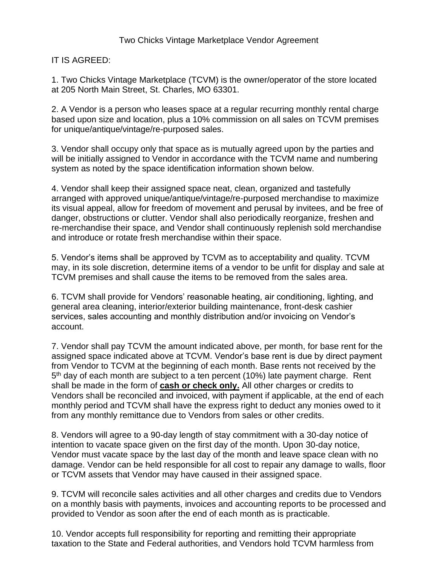## IT IS AGREED:

1. Two Chicks Vintage Marketplace (TCVM) is the owner/operator of the store located at 205 North Main Street, St. Charles, MO 63301.

2. A Vendor is a person who leases space at a regular recurring monthly rental charge based upon size and location, plus a 10% commission on all sales on TCVM premises for unique/antique/vintage/re-purposed sales.

3. Vendor shall occupy only that space as is mutually agreed upon by the parties and will be initially assigned to Vendor in accordance with the TCVM name and numbering system as noted by the space identification information shown below.

4. Vendor shall keep their assigned space neat, clean, organized and tastefully arranged with approved unique/antique/vintage/re-purposed merchandise to maximize its visual appeal, allow for freedom of movement and perusal by invitees, and be free of danger, obstructions or clutter. Vendor shall also periodically reorganize, freshen and re-merchandise their space, and Vendor shall continuously replenish sold merchandise and introduce or rotate fresh merchandise within their space.

5. Vendor's items shall be approved by TCVM as to acceptability and quality. TCVM may, in its sole discretion, determine items of a vendor to be unfit for display and sale at TCVM premises and shall cause the items to be removed from the sales area.

6. TCVM shall provide for Vendors' reasonable heating, air conditioning, lighting, and general area cleaning, interior/exterior building maintenance, front-desk cashier services, sales accounting and monthly distribution and/or invoicing on Vendor's account.

7. Vendor shall pay TCVM the amount indicated above, per month, for base rent for the assigned space indicated above at TCVM. Vendor's base rent is due by direct payment from Vendor to TCVM at the beginning of each month. Base rents not received by the 5<sup>th</sup> day of each month are subject to a ten percent (10%) late payment charge. Rent shall be made in the form of **cash or check only.** All other charges or credits to Vendors shall be reconciled and invoiced, with payment if applicable, at the end of each monthly period and TCVM shall have the express right to deduct any monies owed to it from any monthly remittance due to Vendors from sales or other credits.

8. Vendors will agree to a 90-day length of stay commitment with a 30-day notice of intention to vacate space given on the first day of the month. Upon 30-day notice, Vendor must vacate space by the last day of the month and leave space clean with no damage. Vendor can be held responsible for all cost to repair any damage to walls, floor or TCVM assets that Vendor may have caused in their assigned space.

9. TCVM will reconcile sales activities and all other charges and credits due to Vendors on a monthly basis with payments, invoices and accounting reports to be processed and provided to Vendor as soon after the end of each month as is practicable.

10. Vendor accepts full responsibility for reporting and remitting their appropriate taxation to the State and Federal authorities, and Vendors hold TCVM harmless from